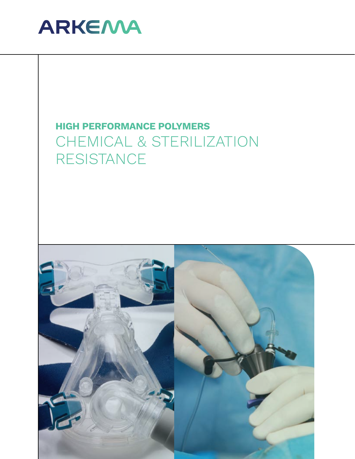

# **HIGH PERFORMANCE POLYMERS** CHEMICAL & STERILIZATION RESISTANCE

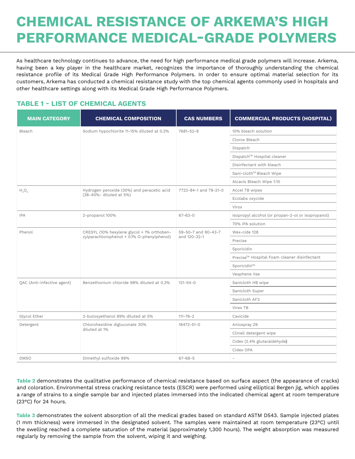# **CHEMICAL RESISTANCE OF ARKEMA'S HIGH PERFORMANCE MEDICAL-GRADE POLYMERS**

As healthcare technology continues to advance, the need for high performance medical grade polymers will increase. Arkema, having been a key player in the healthcare market, recognizes the importance of thoroughly understanding the chemical resistance profile of its Medical Grade High Performance Polymers. In order to ensure optimal material selection for its customers, Arkema has conducted a chemical resistance study with the top chemical agents commonly used in hospitals and other healthcare settings along with its Medical Grade High Performance Polymers.

# **TABLE 1 - LIST OF CHEMICAL AGENTS**

| <b>MAIN CATEGORY</b>       | <b>CHEMICAL COMPOSITION</b>                | <b>CAS NUMBERS</b>                  | <b>COMMERCIAL PRODUCTS (HOSPITAL)</b>             |  |  |
|----------------------------|--------------------------------------------|-------------------------------------|---------------------------------------------------|--|--|
| Bleach                     | Sodium hypochlorite 11-15% diluted at 0.2% | 7681-52-9                           | 10% bleach solution                               |  |  |
|                            |                                            |                                     | Clorox Bleach                                     |  |  |
|                            |                                            |                                     | Dispatch                                          |  |  |
|                            |                                            |                                     | Dispatch™ Hospital cleaner                        |  |  |
|                            |                                            |                                     | Disinfectant with bleach                          |  |  |
|                            |                                            |                                     | Sani-cloth™ Bleach Wipe                           |  |  |
|                            |                                            |                                     | Alcavis Bleach Wipe 1:10                          |  |  |
| $H_2O_2$                   | Hydrogen peroxide (30%) and peracetic acid | 7722-84-1 and 79-21-0               | Accel TB wipes                                    |  |  |
|                            | (38-40%- diluted at 5%)                    |                                     | Ecolabs oxycide                                   |  |  |
|                            |                                            |                                     | Virox                                             |  |  |
| <b>IPA</b>                 | 2-propanol 100%                            | $67 - 63 - 0$                       | Isopropyl alcohol (or propan-2-ol or isopropanol) |  |  |
|                            |                                            |                                     | 70% IPA solution                                  |  |  |
| Phenol                     | CRESYL (10% hexylene glycol + 1% orthoben- | 59-50-7 and 90-43-7<br>and 120-32-1 | Wex-cide 128                                      |  |  |
|                            | zylparachlorophenol + 0.1% O-phenylphenol) |                                     | Precise                                           |  |  |
|                            |                                            |                                     | Sporicidin                                        |  |  |
|                            |                                            |                                     | Precise™ Hospital Foam cleaner disinfectant       |  |  |
|                            |                                            |                                     | Sporicidin™                                       |  |  |
|                            |                                            |                                     | Vesphene IIse                                     |  |  |
| QAC (Anti-infective agent) | Benzethonium chloride 98% diluted at 0.3%  | $121 - 54 - 0$                      | Sanicloth HB wipe                                 |  |  |
|                            |                                            |                                     | Sanicloth Super                                   |  |  |
|                            |                                            |                                     | Sanicloth AF3                                     |  |  |
|                            |                                            |                                     | Virex TB                                          |  |  |
| Glycol Ether               | 2-butoxyethanol 99% diluted at 5%          | $111 - 76 - 2$                      | Cavicide                                          |  |  |
| Detergent                  | Chlorohexidine digluconate 30%             | 18472-51-0                          | Aniospray 29                                      |  |  |
|                            | diluted at 1%                              |                                     | Clinell detergent wipe                            |  |  |
|                            |                                            |                                     | Cidex (2.4% glutaraldehyde)                       |  |  |
|                            |                                            |                                     | Cidex OPA                                         |  |  |
| <b>DMSO</b>                | Dimethyl sulfoxide 99%                     | $67 - 68 - 5$                       | ٠                                                 |  |  |

**Table 2** demonstrates the qualitative performance of chemical resistance based on surface aspect (the appearance of cracks) and coloration. Environmental stress cracking resistance tests (ESCR) were performed using elliptical Bergen jig, which applies a range of strains to a single sample bar and injected plates immersed into the indicated chemical agent at room temperature (23°C) for 24 hours.

**Table 3** demonstrates the solvent absorption of all the medical grades based on standard ASTM D543. Sample injected plates (1 mm thickness) were immersed in the designated solvent. The samples were maintained at room temperature (23 $^{\circ}$ C) until the swelling reached a complete saturation of the material (approximately 1,300 hours). The weight absorption was measured regularly by removing the sample from the solvent, wiping it and weighing.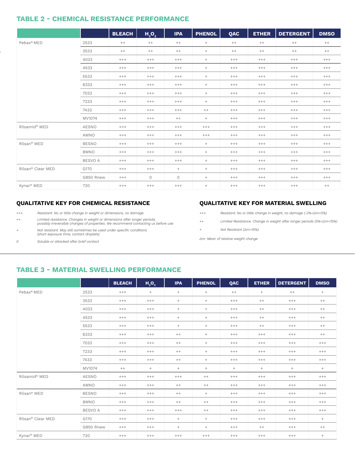### **TABLE 2 - CHEMICAL RESISTANCE PERFORMANCE**

|                           |                | <b>BLEACH</b> | H <sub>2</sub> O <sub>2</sub> | <b>IPA</b> | <b>PHENOL</b> | QAC      | <b>ETHER</b> | <b>DETERGENT</b> | <b>DMSO</b> |
|---------------------------|----------------|---------------|-------------------------------|------------|---------------|----------|--------------|------------------|-------------|
| Pebax <sup>®</sup> MED    | 2533           | $^{++}$       | $++$                          | $^{++}$    | $^{+}$        | $^{++}$  | $^{++}$      | $^{++}$          | $^{++}$     |
|                           | 3533           | $^{++}$       | $^{++}$                       | $^{++}$    | $+$           | $^{++}$  | $^{++}$      | $^{++}$          | $^{++}$     |
|                           | 4033           | $^{+++}$      | $^{+++}$                      | $^{+++}$   | $+$           | $^{+++}$ | $^{+++}$     | $^{+++}$         | $^{+++}$    |
|                           | 4533           | $^{+++}$      | $+++$                         | $+++$      | $+$           | $^{+++}$ | $^{+++}$     | $^{+++}$         | $^{+++}$    |
|                           | 5533           | $^{+++}$      | $^{+++}$                      | $^{+++}$   | $+$           | $^{+++}$ | $^{+++}$     | $^{+++}$         | $^{+++}$    |
|                           | 6333           | $+++$         | $^{+++}$                      | $^{+++}$   | $+$           | $^{+++}$ | $^{+++}$     | $^{+++}$         | $^{+++}$    |
|                           | 7033           | $+++$         | $+++$                         | $+++$      | $+$           | $+++$    | $+++$        | $^{+++}$         | $^{+++}$    |
|                           | 7233           | $+++$         | $^{+++}$                      | $^{+++}$   | $+$           | $^{+++}$ | $^{+++}$     | $^{+++}$         | $^{+++}$    |
|                           | 7433           | $^{+++}$      | $^{+++}$                      | $^{+++}$   | $^{++}$       | $^{+++}$ | $^{+++}$     | $^{+++}$         | $^{+++}$    |
|                           | MV1074         | $^{+++}$      | $^{+++}$                      | $^{++}$    | $+$           | $^{+++}$ | $^{+++}$     | $^{+++}$         | $^{+++}$    |
| Rilsamid <sup>®</sup> MED | <b>AESNO</b>   | $^{+++}$      | $^{+++}$                      | $^{+++}$   | $^{+++}$      | $^{+++}$ | $^{+++}$     | $^{+++}$         | $^{+++}$    |
|                           | AMNO           | $^{+++}$      | $^{+++}$                      | $^{+++}$   | $^{+++}$      | $^{+++}$ | $^{+++}$     | $^{+++}$         | $^{+++}$    |
| Rilsan <sup>®</sup> MED   | <b>BESNO</b>   | $^{+++}$      | $+++$                         | $^{+++}$   | $^{+}$        | $^{+++}$ | $^{+++}$     | $^{+++}$         | $^{+++}$    |
|                           | <b>BMNO</b>    | $^{+++}$      | $+++$                         | $+++$      | $+$           | $^{+++}$ | $+++$        | $^{+++}$         | $^{+++}$    |
|                           | <b>BESVO A</b> | $^{+++}$      | $^{+++}$                      | $^{+++}$   | $+$           | $^{+++}$ | $^{+++}$     | $^{+++}$         | $^{+++}$    |
| Rilsan® Clear MED         | G170           | $^{+++}$      | $^{+++}$                      | $^{+}$     | $+$           | $^{+++}$ | $^{+++}$     | $^{+++}$         | $^{+++}$    |
|                           | G850 Rnew      | $^{+++}$      | $\circ$                       | $\circ$    | $+$           | $^{+++}$ | $+++$        | $^{+++}$         | $^{+++}$    |
| Kynar <sup>®</sup> MED    | 720            | $^{+++}$      | $^{+++}$                      | $^{+++}$   | $^{+}$        | $^{+++}$ | $^{+++}$     | $^{+++}$         | $^{++}$     |

#### **QUALITATIVE KEY FOR CHEMICAL RESISTANCE**

 $+ + +$ *+++ Resistant. No or little change in weight or dimensions, no damage* 

- *++ Limited resistance. Changes in weight or dimensions after longer periods, possibly irreversible changes of properties. We recommend contacting us before use*
- *+ Not resistant. May still sometimes be used under specific conditions (short exposure time, contact droplets)*
- *0 Soluble or attacked after brief contact*

#### **QUALITATIVE KEY FOR MATERIAL SWELLING**

- $***$ *+++ Resistant. No or little change in weight, no damage (-2%<∆m<5%)*
- *++ Limited Resistance. Change in weight after longer periods (5%<∆m<15%)*
- $\pm$ *+ Not Resistant (∆m>15%)*

*∆m: Mean of relative weight change*

### **TABLE 3 - MATERIAL SWELLING PERFORMANCE**

|                           |                | <b>BLEACH</b> | $H_2O_2$ | <b>IPA</b> | <b>PHENOL</b> | QAC      | <b>ETHER</b> | <b>DETERGENT</b> | <b>DMSO</b>                      |
|---------------------------|----------------|---------------|----------|------------|---------------|----------|--------------|------------------|----------------------------------|
| Pebax <sup>®</sup> MED    | 2533           | $^{+++}$      | $+$      | $+$        | $+$           | $^{++}$  | $^{+}$       | $^{++}$          | $+$                              |
|                           | 3533           | $^{+++}$      | $^{+++}$ | $+$        | $+$           | $^{+++}$ | $^{++}$      | $^{+++}$         | $^{++}$                          |
|                           | 4033           | $^{+++}$      | $^{+++}$ | $+$        | $+$           | $^{+++}$ | $^{++}$      | $+++$            | $^{++}$                          |
|                           | 4533           | $+++$         | $^{+++}$ | $+$        | $+$           | $+++$    | $++$         | $^{+++}$         | $^{++}$                          |
|                           | 5533           | $^{+++}$      | $^{+++}$ | $+$        | $+$           | $+++$    | $^{++}$      | $^{+++}$         | $^{++}$                          |
|                           | 6333           | $^{+++}$      | $+++$    | $++$       | $+$           | $+++$    | $+++$        | $+++$            | $^{++}$                          |
|                           | 7033           | $+++$         | $^{+++}$ | $++$       | $+$           | $+++$    | $^{+++}$     | $+++$            | $+++$                            |
|                           | 7233           | $^{+++}$      | $+++$    | $++$       | $+$           | $+++$    | $^{+++}$     | $+++$            | $+++$                            |
|                           | 7433           | $^{+++}$      | $^{+++}$ | $^{++}$    | $^{+}$        | $^{+++}$ | $^{+++}$     | $^{+++}$         | $^{+++}$                         |
|                           | MV1074         | $++$          | $+$      | $+$        | $+$           | $+$      | $+$          | $+$              | $+$                              |
| Rilsamid <sup>®</sup> MED | <b>AESNO</b>   | $^{+++}$      | $^{+++}$ | $^{+++}$   | $^{++}$       | $^{+++}$ | $^{+++}$     | $^{+++}$         | $^{+++}$                         |
|                           | <b>AMNO</b>    | $+++$         | $^{+++}$ | $++$       | $++$          | $+++$    | $^{+++}$     | $^{+++}$         | $+++$                            |
| Rilsan <sup>®</sup> MED   | <b>BESNO</b>   | $^{+++}$      | $^{+++}$ | $^{++}$    | $+$           | $^{+++}$ | $^{+++}$     | $^{+++}$         | $^{+++}$                         |
|                           | <b>BMNO</b>    | $^{+++}$      | $^{+++}$ | $++$       | $^{++}$       | $^{+++}$ | $^{+++}$     | $^{+++}$         | $^{+++}$                         |
|                           | <b>BESVO A</b> | $^{+++}$      | $^{+++}$ | $^{+++}$   | $^{++}$       | $^{+++}$ | $^{+++}$     | $+++$            | $^{+++}$                         |
| Rilsan® Clear MED         | G170           | $^{+++}$      | $^{+++}$ | $+$        | $+$           | $^{+++}$ | $^{+++}$     | $^{+++}$         | $+$                              |
|                           | G850 Rnew      | $^{+++}$      | $^{+++}$ | $+$        | $+$           | $^{+++}$ | $^{++}$      | $^{+++}$         | $^{++}$                          |
| Kynar <sup>®</sup> MED    | 720            | $^{+++}$      | $^{+++}$ | $^{+++}$   | $^{+++}$      | $^{+++}$ | $^{+++}$     | $^{+++}$         | $\begin{array}{c} + \end{array}$ |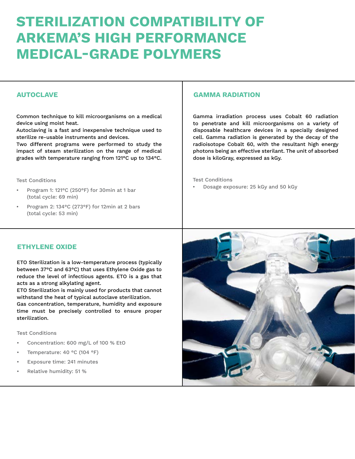# **STERILIZATION COMPATIBILITY OF ARKEMA'S HIGH PERFORMANCE MEDICAL-GRADE POLYMERS**

Common technique to kill microorganisms on a medical device using moist heat.

Autoclaving is a fast and inexpensive technique used to sterilize re-usable instruments and devices.

Two different programs were performed to study the impact of steam sterilization on the range of medical grades with temperature ranging from 121°C up to 134°C.

Test Conditions

- Program 1: 121°C (250°F) for 30min at 1 bar (total cycle: 69 min)
- Program 2: 134°C (273°F) for 12min at 2 bars (total cycle: 53 min)

### **AUTOCLAVE GAMMA RADIATION**

Gamma irradiation process uses Cobalt 60 radiation to penetrate and kill microorganisms on a variety of disposable healthcare devices in a specially designed cell. Gamma radiation is generated by the decay of the radioisotope Cobalt 60, with the resultant high energy photons being an effective sterilant. The unit of absorbed dose is kiloGray, expressed as kGy.

Test Conditions

• Dosage exposure: 25 kGy and 50 kGy

### **ETHYLENE OXIDE**

ETO Sterilization is a low-temperature process (typically between 37°C and 63°C) that uses Ethylene Oxide gas to reduce the level of infectious agents. ETO is a gas that acts as a strong alkylating agent.

ETO Sterilization is mainly used for products that cannot withstand the heat of typical autoclave sterilization.

Gas concentration, temperature, humidity and exposure time must be precisely controlled to ensure proper sterilization.

Test Conditions

- Concentration: 600 mg/L of 100 % EtO
- Temperature: 40 °C (104 °F)
- Exposure time: 241 minutes
- Relative humidity: 51 %

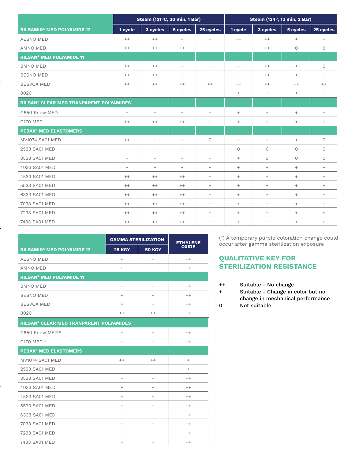|                                                           | Steam (121°C, 30 min, 1 Bar) |          |                   |                 | Steam (134°, 12 min, 2 Bar)      |          |                 |           |
|-----------------------------------------------------------|------------------------------|----------|-------------------|-----------------|----------------------------------|----------|-----------------|-----------|
| <b>RILSAMID<sup>®</sup> MED POLYAMIDE 12</b>              | 1 cycle                      | 3 cycles | $5$ cycles        | 25 cycles       | 1 cycle                          | 3 cycles | 5 cycles        | 25 cycles |
| <b>AESNO MED</b>                                          | $^{++}$                      | $++$     | $^{+}$            | $\! + \!\!\!\!$ | $^{++}$                          | $^{++}$  | $\! + \!\!\!\!$ | $^{+}$    |
| AMNO MED                                                  | $^{++}$                      | $++$     | $^{++}$           | $^{+}$          | $++$                             | $^{++}$  | $\circ$         | 0         |
| <b>RILSAN<sup>®</sup> MED POLYAMIDE 11</b>                |                              |          |                   |                 |                                  |          |                 |           |
| <b>BMNO MED</b>                                           | $++$                         | $++$     | $+$               | $^{+}$          | $++$                             | $++$     | $^{+}$          | 0         |
| <b>BESNO MED</b>                                          | $^{++}$                      | $^{++}$  | $^{+}$            | $^{+}$          | $++$                             | $++$     | $^{+}$          | $^{+}$    |
| <b>BESVOA MED</b>                                         | $^{++}$                      | $++$     | $^{++}$           | $^{++}$         | $++$                             | $++$     | $^{++}$         | $^{++}$   |
| 8020                                                      | $\ddot{}$                    | $^{+}$   | $\qquad \qquad +$ | $\! + \!\!\!\!$ | $^{+}$                           | $^{+}$   | $\! + \!\!\!\!$ | $^{+}$    |
| <b>RILSAN<sup>®</sup> CLEAR MED TRANPARENT POLYAMIDES</b> |                              |          |                   |                 |                                  |          |                 |           |
| G850 Rnew MED                                             | $\ddot{}$                    | $+$      | $^{+}$            | $^{+}$          | $+$                              | $+$      | $^{+}$          | $^{+}$    |
| <b>G170 MED</b>                                           | $++$                         | $++$     | $^{++}$           | $^{+}$          | $^{+}$                           | $^{+}$   | $^{+}$          | $^{+}$    |
| <b>PEBAX<sup>®</sup> MED ELASTOMERS</b>                   |                              |          |                   |                 |                                  |          |                 |           |
| <b>MV1074 SA01 MED</b>                                    | $++$                         | $^{+}$   | $^{+}$            | 0               | $++$                             | $^{+}$   | $^{+}$          | 0         |
| 2533 SA01 MED                                             | $\ddot{}$                    | $^{+}$   | $\qquad \qquad +$ | $\! + \!\!\!\!$ | $\circ$                          | $\circ$  | $\circ$         | $\circ$   |
| 3533 SA01 MED                                             | $\! + \!\!\!\!$              | $^{+}$   | $\! + \!\!\!\!$   | $^{+}$          | $\begin{array}{c} + \end{array}$ | $\circ$  | $\circ$         | $\circ$   |
| 4033 SA01 MED                                             | $\! + \!\!\!\!$              | $+$      | $\qquad \qquad +$ | $^{+}$          | $+$                              | $^{+}$   | $^{+}$          | $+$       |
| 4533 SA01 MED                                             | $^{++}$                      | $^{++}$  | $^{++}$           | $^{+}$          | $^{+}$                           | $^{+}$   | $^{+}$          | $^{+}$    |
| 5533 SA01 MED                                             | $^{++}$                      | $^{++}$  | $^{++}$           | $\! + \!\!\!\!$ | $^{+}$                           | $^{+}$   | $\! + \!\!\!\!$ | $+$       |
| 6333 SA01 MED                                             | $^{++}$                      | $++$     | $^{++}$           | $^{+}$          | $^{+}$                           | $^{+}$   | $^{+}$          | $^{+}$    |
| 7033 SA01 MED                                             | $^{++}$                      | $^{++}$  | $^{++}$           | $^{+}$          | $^{+}$                           | $^{+}$   | $^{+}$          | $^{+}$    |
| 7233 SA01 MED                                             | $^{++}$                      | $++$     | $^{++}$           | $^{+}$          | $+$                              | $^{+}$   | $^{+}$          | $^{+}$    |
| 7433 SA01 MED                                             | $^{++}$                      | $^{++}$  | $^{++}$           | $^{+}$          | $^{+}$                           | $^{+}$   | $^{+}$          | $^{+}$    |

|                                                           | <b>GAMMA STERILIZATION</b> | <b>ETHYLENE</b> |              |  |  |
|-----------------------------------------------------------|----------------------------|-----------------|--------------|--|--|
| <b>RILSAMID<sup>®</sup> MED POLYAMIDE 12</b>              | <b>25 KGY</b>              | <b>50 KGY</b>   | <b>OXIDE</b> |  |  |
| <b>AESNO MED</b>                                          | $^{+}$                     | $^{+}$          | $++$         |  |  |
| AMNO MED                                                  | $+$                        | $^{+}$          | $++$         |  |  |
| <b>RILSAN<sup>®</sup> MED POLYAMIDE 11</b>                |                            |                 |              |  |  |
| <b>BMNO MED</b>                                           | $^{+}$                     | $^{+}$          | $^{++}$      |  |  |
| BESNO MED                                                 | $+$                        | $^{+}$          | $++$         |  |  |
| <b>BESVOA MED</b>                                         | $^{+}$                     | $^{+}$          | $++$         |  |  |
| 8020                                                      | $^{++}$                    | $^{++}$         | $^{++}$      |  |  |
| <b>RILSAN<sup>®</sup> CLEAR MED TRANPARENT POLYAMIDES</b> |                            |                 |              |  |  |
| G850 Rnew MED <sup>(1)</sup>                              | $\ddot{}$                  | $\ddot{}$       | $++$         |  |  |
| G170 MED <sup>(1)</sup>                                   | $^{+}$                     | $^{+}$          | $^{++}$      |  |  |
| <b>PEBAX<sup>®</sup> MED ELASTOMERS</b>                   |                            |                 |              |  |  |
| <b>MV1074 SA01 MED</b>                                    | $^{++}$                    | $^{++}$         | $^{+}$       |  |  |
| 2533 SA01 MED                                             | $^{+}$                     | $\ddot{}$       | $^{+}$       |  |  |
| 3533 SA01 MED                                             | $\ddot{}$                  | $^{+}$          | $++$         |  |  |
| 4033 SA01 MED                                             | $^{+}$                     | $\ddot{}$       | $^{++}$      |  |  |
| 4533 SA01 MED                                             | $^{+}$                     | $^{+}$          | $++$         |  |  |
| 5533 SA01 MED                                             | $^{+}$                     | $^{+}$          | $^{++}$      |  |  |
| 6333 SA01 MED                                             | $^{+}$                     | $^{+}$          | $++$         |  |  |
| 7033 SA01 MED                                             | $^{+}$                     | $^{+}$          | $++$         |  |  |
| 7233 SA01 MED                                             | $+$                        | $^{+}$          | $++$         |  |  |
| 7433 SA01 MED                                             | $+$                        | $^{+}$          | $^{++}$      |  |  |

(1) A temporary purple coloration change could occur after gamma sterilization exposure

# **QUALITATIVE KEY FOR STERILIZATION RESISTANCE**

++ Suitable - No change

+ Suitable - Change in color but no change in mechanical performance 0 Not suitable